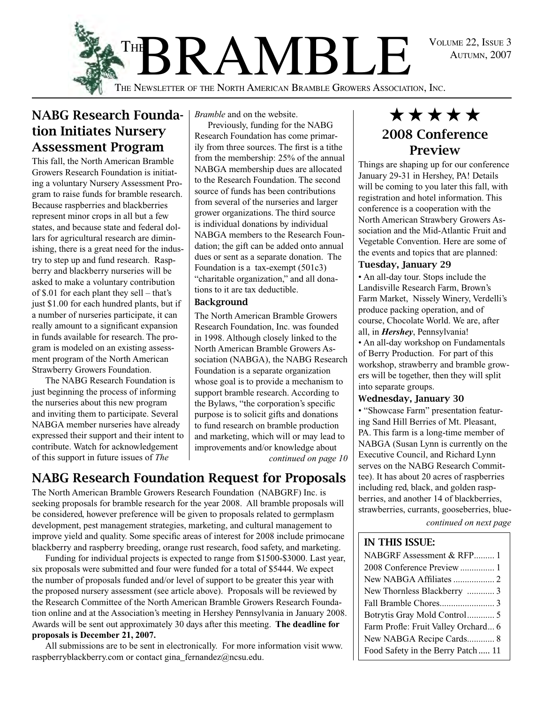Autumn, 2007



## NABG Research Foundation Initiates Nursery Assessment Program

This fall, the North American Bramble Growers Research Foundation is initiating a voluntary Nursery Assessment Program to raise funds for bramble research. Because raspberries and blackberries represent minor crops in all but a few states, and because state and federal dollars for agricultural research are diminishing, there is a great need for the industry to step up and fund research. Raspberry and blackberry nurseries will be asked to make a voluntary contribution of \$.01 for each plant they sell – that's just \$1.00 for each hundred plants, but if a number of nurseries participate, it can really amount to a significant expansion in funds available for research. The program is modeled on an existing assessment program of the North American Strawberry Growers Foundation.

The NABG Research Foundation is just beginning the process of informing the nurseries about this new program and inviting them to participate. Several NABGA member nurseries have already expressed their support and their intent to contribute. Watch for acknowledgement of this support in future issues of *The* 

*Bramble* and on the website.

Previously, funding for the NABG Research Foundation has come primarily from three sources. The first is a tithe from the membership: 25% of the annual NABGA membership dues are allocated to the Research Foundation. The second source of funds has been contributions from several of the nurseries and larger grower organizations. The third source is individual donations by individual NABGA members to the Research Foundation; the gift can be added onto annual dues or sent as a separate donation. The Foundation is a tax-exempt (501c3) "charitable organization," and all donations to it are tax deductible.

#### **Background**

*continued on page 10* The North American Bramble Growers Research Foundation, Inc. was founded in 1998. Although closely linked to the North American Bramble Growers Association (NABGA), the NABG Research Foundation is a separate organization whose goal is to provide a mechanism to support bramble research. According to the Bylaws, "the corporation's specific purpose is to solicit gifts and donations to fund research on bramble production and marketing, which will or may lead to improvements and/or knowledge about

# NABG Research Foundation Request for Proposals

The North American Bramble Growers Research Foundation (NABGRF) Inc. is seeking proposals for bramble research for the year 2008. All bramble proposals will be considered, however preference will be given to proposals related to germplasm development, pest management strategies, marketing, and cultural management to improve yield and quality. Some specific areas of interest for 2008 include primocane blackberry and raspberry breeding, orange rust research, food safety, and marketing.

Funding for individual projects is expected to range from \$1500-\$3000. Last year, six proposals were submitted and four were funded for a total of \$5444. We expect the number of proposals funded and/or level of support to be greater this year with the proposed nursery assessment (see article above). Proposals will be reviewed by the Research Committee of the North American Bramble Growers Research Foundation online and at the Association's meeting in Hershey Pennsylvania in January 2008. Awards will be sent out approximately 30 days after this meeting. **The deadline for proposals is December 21, 2007.**

All submissions are to be sent in electronically. For more information visit www. raspberryblackberry.com or contact gina\_fernandez@ncsu.edu.

# \*\*\*\*\* 2008 Conference Preview

Things are shaping up for our conference January 29-31 in Hershey, PA! Details will be coming to you later this fall, with registration and hotel information. This conference is a cooperation with the North American Strawbery Growers Association and the Mid-Atlantic Fruit and Vegetable Convention. Here are some of the events and topics that are planned:

#### Tuesday, January 29

• An all-day tour. Stops include the Landisville Research Farm, Brown's Farm Market, Nissely Winery, Verdelli'sproduce packing operation, and of course, Chocolate World. We are, after all, in *Hershey*, Pennsylvania!

• An all-day workshop on Fundamentals of Berry Production. For part of this workshop, strawberry and bramble growers will be together, then they will split into separate groups.

### Wednesday, January 30

• "Showcase Farm" presentation featuring Sand Hill Berries of Mt. Pleasant, PA. This farm is a long-time member of NABGA (Susan Lynn is currently on the Executive Council, and Richard Lynn serves on the NABG Research Committee). It has about 20 acres of raspberries including red, black, and golden raspberries, and another 14 of blackberries, strawberries, currants, gooseberries, blue-

*continued on next page*

### In this Issue:

| NABGRF Assessment & RFP 1           |
|-------------------------------------|
| 2008 Conference Preview  1          |
| New NABGA Affiliates  2             |
| New Thornless Blackberry  3         |
|                                     |
| Botrytis Gray Mold Control 5        |
| Farm Profle: Fruit Valley Orchard 6 |
| New NABGA Recipe Cards 8            |
| Food Safety in the Berry Patch 11   |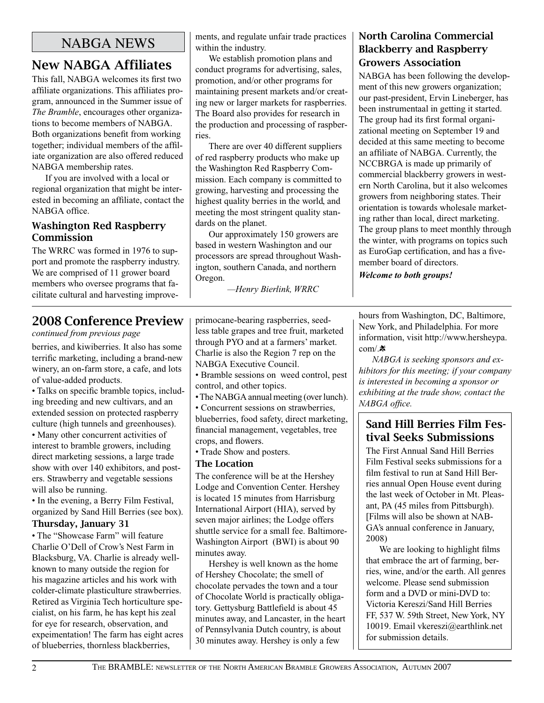### NABGA NEWS

# New NABGA Affiliates

This fall, NABGA welcomes its first two affiliate organizations. This affiliates program, announced in the Summer issue of *The Bramble*, encourages other organizations to become members of NABGA. Both organizations benefit from working together; individual members of the affiliate organization are also offered reduced NABGA membership rates.

If you are involved with a local or regional organization that might be interested in becoming an affiliate, contact the NABGA office.

### Washington Red Raspberry **Commission**

The WRRC was formed in 1976 to support and promote the raspberry industry. We are comprised of 11 grower board members who oversee programs that facilitate cultural and harvesting improvements, and regulate unfair trade practices within the industry.

We establish promotion plans and conduct programs for advertising, sales, promotion, and/or other programs for maintaining present markets and/or creating new or larger markets for raspberries. The Board also provides for research in the production and processing of raspberries.

There are over 40 different suppliers of red raspberry products who make up the Washington Red Raspberry Commission. Each company is committed to growing, harvesting and processing the highest quality berries in the world, and meeting the most stringent quality standards on the planet.

Our approximately 150 growers are based in western Washington and our processors are spread throughout Washington, southern Canada, and northern Oregon.

*—Henry Bierlink, WRRC* 

### North Carolina Commercial Blackberry and Raspberry Growers Association

NABGA has been following the development of this new growers organization; our past-president, Ervin Lineberger, has been instrumentaal in getting it started. The group had its first formal organizational meeting on September 19 and decided at this same meeting to become an affiliate of NABGA. Currently, the NCCBRGA is made up primarily of commercial blackberry growers in western North Carolina, but it also welcomes growers from neighboring states. Their orientation is towards wholesale marketing rather than local, direct marketing. The group plans to meet monthly through the winter, with programs on topics such as EuroGap certification, and has a fivemember board of directors.

*Welcome to both groups!*

### 2008 Conference Preview

*continued from previous page*

berries, and kiwiberries. It also has some terrific marketing, including a brand-new winery, an on-farm store, a cafe, and lots of value-added products.

• Talks on specific bramble topics, including breeding and new cultivars, and an extended session on protected raspberry culture (high tunnels and greenhouses).

• Many other concurrent activities of interest to bramble growers, including direct marketing sessions, a large trade show with over 140 exhibitors, and posters. Strawberry and vegetable sessions will also be running.

• In the evening, a Berry Film Festival, organized by Sand Hill Berries (see box).

### Thursday, January 31

• The "Showcase Farm" will feature Charlie O'Dell of Crow's Nest Farm in Blacksburg, VA. Charlie is already wellknown to many outside the region for his magazine articles and his work with colder-climate plasticulture strawberries. Retired as Virginia Tech horticulture specialist, on his farm, he has kept his zeal for eye for research, observation, and expeimentation! The farm has eight acres of blueberries, thornless blackberries,

primocane-bearing raspberries, seedless table grapes and tree fruit, marketed through PYO and at a farmers' market. Charlie is also the Region 7 rep on the NABGA Executive Council.

• Bramble sessions on weed control, pest control, and other topics.

• The NABGA annual meeting (over lunch).

• Concurrent sessions on strawberries, blueberries, food safety, direct marketing,

financial management, vegetables, tree crops, and flowers.

• Trade Show and posters.

### The Location

The conference will be at the Hershey Lodge and Convention Center. Hershey is located 15 minutes from Harrisburg International Airport (HIA), served by seven major airlines; the Lodge offers shuttle service for a small fee. Baltimore-Washington Airport (BWI) is about 90 minutes away.

Hershey is well known as the home of Hershey Chocolate; the smell of chocolate pervades the town and a tour of Chocolate World is practically obligatory. Gettysburg Battlefield is about 45 minutes away, and Lancaster, in the heart of Pennsylvania Dutch country, is about 30 minutes away. Hershey is only a few

hours from Washington, DC, Baltimore, New York, and Philadelphia. For more information, visit http://www.hersheypa. com/.素

*NABGA is seeking sponsors and exhibitors for this meeting; if your company is interested in becoming a sponsor or exhibiting at the trade show, contact the NABGA office.*

### Sand Hill Berries Film Festival Seeks Submissions

The First Annual Sand Hill Berries Film Festival seeks submissions for a film festival to run at Sand Hill Berries annual Open House event during the last week of October in Mt. Pleasant, PA (45 miles from Pittsburgh). [Films will also be shown at NAB-GA's annual conference in January, 2008)

We are looking to highlight films that embrace the art of farming, berries, wine, and/or the earth. All genres welcome. Please send submission form and a DVD or mini-DVD to: Victoria Kereszi/Sand Hill Berries FF, 537 W. 59th Street, New York, NY 10019. Email vkereszi@earthlink.net for submission details.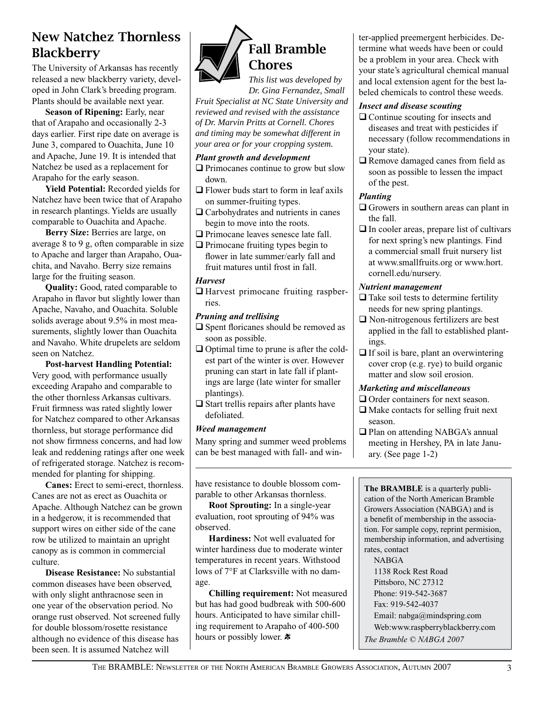# New Natchez Thornless **Blackberry**

The University of Arkansas has recently released a new blackberry variety, developed in John Clark's breeding program. Plants should be available next year.

**Season of Ripening:** Early, near that of Arapaho and occasionally 2-3 days earlier. First ripe date on average is June 3, compared to Ouachita, June 10 and Apache, June 19. It is intended that Natchez be used as a replacement for Arapaho for the early season.

**Yield Potential:** Recorded yields for Natchez have been twice that of Arapaho in research plantings. Yields are usually comparable to Ouachita and Apache.

**Berry Size:** Berries are large, on average 8 to 9 g, often comparable in size to Apache and larger than Arapaho, Ouachita, and Navaho. Berry size remains large for the fruiting season.

**Quality:** Good, rated comparable to Arapaho in flavor but slightly lower than Apache, Navaho, and Ouachita. Soluble solids average about 9.5% in most measurements, slightly lower than Ouachita and Navaho. White drupelets are seldom seen on Natchez.

**Post-harvest Handling Potential:** Very good, with performance usually exceeding Arapaho and comparable to the other thornless Arkansas cultivars. Fruit firmness was rated slightly lower for Natchez compared to other Arkansas thornless, but storage performance did not show firmness concerns, and had low leak and reddening ratings after one week of refrigerated storage. Natchez is recommended for planting for shipping.

**Canes:** Erect to semi-erect, thornless. Canes are not as erect as Ouachita or Apache. Although Natchez can be grown in a hedgerow, it is recommended that support wires on either side of the cane row be utilized to maintain an upright canopy as is common in commercial culture.

**Disease Resistance:** No substantial common diseases have been observed, with only slight anthracnose seen in one year of the observation period. No orange rust observed. Not screened fully for double blossom/rosette resistance although no evidence of this disease has been seen. It is assumed Natchez will



*This list was developed by Dr. Gina Fernandez, Small* 

*Fruit Specialist at NC State University and reviewed and revised with the assistance of Dr. Marvin Pritts at Cornell. Chores and timing may be somewhat different in your area or for your cropping system.* 

#### *Plant growth and development*

 $\Box$  Primocanes continue to grow but slow down.

- $\Box$  Flower buds start to form in leaf axils on summer-fruiting types.
- $\Box$  Carbohydrates and nutrients in canes begin to move into the roots.
- $\Box$  Primocane leaves senesce late fall.

 $\Box$  Primocane fruiting types begin to flower in late summer/early fall and fruit matures until frost in fall.

#### *Harvest*

 $\Box$  Harvest primocane fruiting raspberries.

#### *Pruning and trellising*

 $\square$  Spent floricanes should be removed as soon as possible.

- $\Box$  Optimal time to prune is after the coldest part of the winter is over. However pruning can start in late fall if plantings are large (late winter for smaller plantings).
- $\Box$  Start trellis repairs after plants have defoliated.

### *Weed management*

Many spring and summer weed problems can be best managed with fall- and win-

have resistance to double blossom comparable to other Arkansas thornless.

**Root Sprouting:** In a single-year evaluation, root sprouting of 94% was observed.

**Hardiness:** Not well evaluated for winter hardiness due to moderate winter temperatures in recent years. Withstood lows of 7°F at Clarksville with no damage.

**Chilling requirement:** Not measured but has had good budbreak with 500-600 hours. Anticipated to have similar chilling requirement to Arapaho of 400-500 hours or possibly lower.  $\ast$ 

ter-applied preemergent herbicides. Determine what weeds have been or could be a problem in your area. Check with your state's agricultural chemical manual and local extension agent for the best labeled chemicals to control these weeds.

#### *Insect and disease scouting*

- $\Box$  Continue scouting for insects and diseases and treat with pesticides if necessary (follow recommendations in your state).
- $\Box$  Remove damaged canes from field as soon as possible to lessen the impact of the pest.

#### *Planting*

- $\Box$  Growers in southern areas can plant in the fall.
- $\Box$  In cooler areas, prepare list of cultivars for next spring's new plantings. Find a commercial small fruit nursery list at www.smallfruits.org or www.hort. cornell.edu/nursery.

#### *Nutrient management*

- $\Box$  Take soil tests to determine fertility needs for new spring plantings.
- $\Box$  Non-nitrogenous fertilizers are best applied in the fall to established plantings.
- $\Box$  If soil is bare, plant an overwintering cover crop (e.g. rye) to build organic matter and slow soil erosion.

### *Marketing and miscellaneous*

- $\Box$  Order containers for next season.
- $\Box$  Make contacts for selling fruit next season.
- □ Plan on attending NABGA's annual meeting in Hershey, PA in late January. (See page 1-2)

**The BRAMBLE** is a quarterly publication of the North American Bramble Growers Association (NABGA) and is a benefit of membership in the association. For sample copy, reprint permision, membership information, and advertising rates, contact

NABGA 1138 Rock Rest Road Pittsboro, NC 27312 Phone: 919-542-3687 Fax: 919-542-4037 Email: nabga@mindspring.com Web:www.raspberryblackberry.com *The Bramble © NABGA 2007*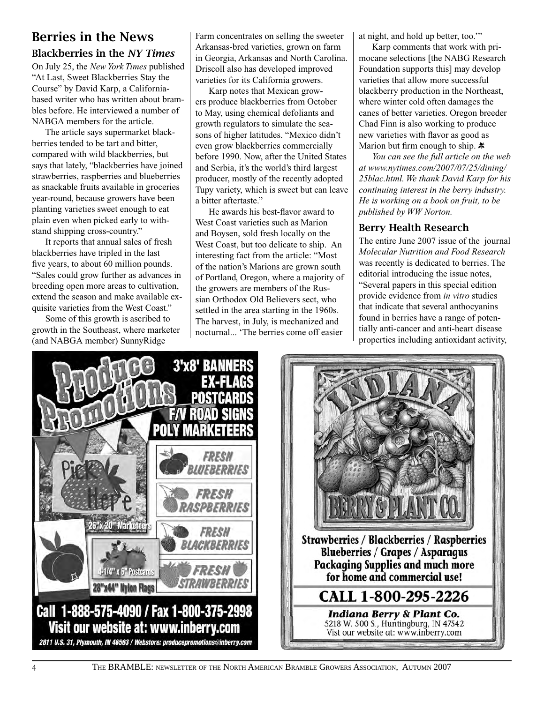# Berries in the News

### Blackberries in the *NY Times*

On July 25, the *New York Times* published "At Last, Sweet Blackberries Stay the Course" by David Karp, a Californiabased writer who has written about brambles before. He interviewed a number of NABGA members for the article.

The article says supermarket blackberries tended to be tart and bitter, compared with wild blackberries, but says that lately, "blackberries have joined strawberries, raspberries and blueberries as snackable fruits available in groceries year-round, because growers have been planting varieties sweet enough to eat plain even when picked early to withstand shipping cross-country."

It reports that annual sales of fresh blackberries have tripled in the last five years, to about 60 million pounds. "Sales could grow further as advances in breeding open more areas to cultivation, extend the season and make available exquisite varieties from the West Coast."

Some of this growth is ascribed to growth in the Southeast, where marketer (and NABGA member) SunnyRidge

Farm concentrates on selling the sweeter Arkansas-bred varieties, grown on farm in Georgia, Arkansas and North Carolina. Driscoll also has developed improved varieties for its California growers.

Karp notes that Mexican growers produce blackberries from October to May, using chemical defoliants and growth regulators to simulate the seasons of higher latitudes. "Mexico didn't even grow blackberries commercially before 1990. Now, after the United States and Serbia, it's the world's third largest producer, mostly of the recently adopted Tupy variety, which is sweet but can leave a bitter aftertaste."

He awards his best-flavor award to West Coast varieties such as Marion and Boysen, sold fresh locally on the West Coast, but too delicate to ship. An interesting fact from the article: "Most of the nation's Marions are grown south of Portland, Oregon, where a majority of the growers are members of the Russian Orthodox Old Believers sect, who settled in the area starting in the 1960s. The harvest, in July, is mechanized and nocturnal... 'The berries come off easier

at night, and hold up better, too.'"

Karp comments that work with primocane selections [the NABG Research Foundation supports this] may develop varieties that allow more successful blackberry production in the Northeast, where winter cold often damages the canes of better varieties. Oregon breeder Chad Finn is also working to produce new varieties with flavor as good as Marion but firm enough to ship.  $\ast$ 

*You can see the full article on the web at www.nytimes.com/2007/07/25/dining/ 25blac.html. We thank David Karp for his continuing interest in the berry industry. He is working on a book on fruit, to be published by WW Norton.*

### Berry Health Research

The entire June 2007 issue of the journal *Molecular Nutrition and Food Research*  was recently is dedicated to berries. The editorial introducing the issue notes, "Several papers in this special edition provide evidence from *in vitro* studies that indicate that several anthocyanins found in berries have a range of potentially anti-cancer and anti-heart disease properties including antioxidant activity,



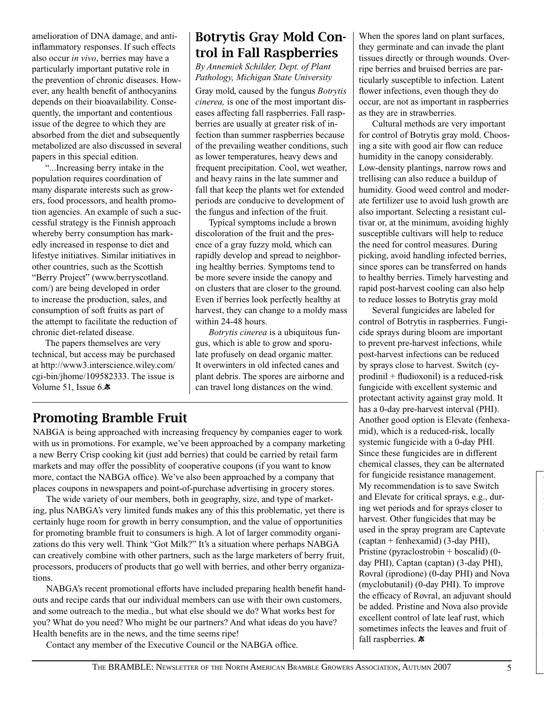amelioration of DNA damage, and antiinflammatory responses. If such effects also occur *in vivo*, berries may have a particularly important putative role in the prevention of chronic diseases. However, any health benefit of anthocyanins depends on their bioavailability. Consequently, the important and contentious issue of the degree to which they are absorbed from the diet and subsequently metabolized are also discussed in several papers in this special edition.

"...Increasing berry intake in the population requires coordination of many disparate interests such as growers, food processors, and health promotion agencies. An example of such a successful strategy is the Finnish approach whereby berry consumption has markedly increased in response to diet and lifestye initiatives. Similar initiatives in other countries, such as the Scottish "Berry Project" (www.berryscotland. com/) are being developed in order to increase the production, sales, and consumption of soft fruits as part of the attempt to facilitate the reduction of chronic diet-related disease.

The papers themselves are very technical, but access may be purchased at http://www3.interscience.wiley.com/ cgi-bin/jhome/109582333. The issue is Volume 51, Issue 6. $\ddot{\mathbf{x}}$ 

# Botrytis Gray Mold Control in Fall Raspberries

*By Annemiek Schilder, Dept. of Plant Pathology, Michigan State University*

Gray mold, caused by the fungus *Botrytis cinerea,* is one of the most important diseases affecting fall raspberries. Fall raspberries are usually at greater risk of infection than summer raspberries because of the prevailing weather conditions, such as lower temperatures, heavy dews and frequent precipitation. Cool, wet weather, and heavy rains in the late summer and fall that keep the plants wet for extended periods are conducive to development of the fungus and infection of the fruit.

Typical symptoms include a brown discoloration of the fruit and the presence of a gray fuzzy mold, which can rapidly develop and spread to neighboring healthy berries. Symptoms tend to be more severe inside the canopy and on clusters that are closer to the ground. Even if berries look perfectly healthy at harvest, they can change to a moldy mass within 24-48 hours.

*Botrytis cinerea* is a ubiquitous fungus, which is able to grow and sporulate profusely on dead organic matter. It overwinters in old infected canes and plant debris. The spores are airborne and can travel long distances on the wind.

## Promoting Bramble Fruit

NABGA is being approached with increasing frequency by companies eager to work with us in promotions. For example, we've been approached by a company marketing a new Berry Crisp cooking kit (just add berries) that could be carried by retail farm markets and may offer the possiblity of cooperative coupons (if you want to know more, contact the NABGA office). We've also been approached by a company that places coupons in newspapers and point-of-purchase advertising in grocery stores.

The wide variety of our members, both in geography, size, and type of marketing, plus NABGA's very limited funds makes any of this this problematic, yet there is certainly huge room for growth in berry consumption, and the value of opportunities for promoting bramble fruit to consumers is high. A lot of larger commodity organizations do this very well. Think "Got Milk?" It's a situation where perhaps NABGA can creatively combine with other partners, such as the large marketers of berry fruit, processors, producers of products that go well with berries, and other berry organizations.

NABGA's recent promotional efforts have included preparing health benefit handouts and recipe cards that our individual members can use with their own customers, and some outreach to the media., but what else should we do? What works best for you? What do you need? Who might be our partners? And what ideas do you have? Health benefits are in the news, and the time seems ripe!

Contact any member of the Executive Council or the NABGA office.

When the spores land on plant surfaces, they germinate and can invade the plant tissues directly or through wounds. Overripe berries and bruised berries are particularly susceptible to infection. Latent flower infections, even though they do occur, are not as important in raspberries as they are in strawberries.

Cultural methods are very important for control of Botrytis gray mold. Choosing a site with good air flow can reduce humidity in the canopy considerably. Low-density plantings, narrow rows and trellising can also reduce a buildup of humidity. Good weed control and moderate fertilizer use to avoid lush growth are also important. Selecting a resistant cultivar or, at the minimum, avoiding highly susceptible cultivars will help to reduce the need for control measures. During picking, avoid handling infected berries, since spores can be transferred on hands to healthy berries. Timely harvesting and rapid post-harvest cooling can also help to reduce losses to Botrytis gray mold

Several fungicides are labeled for control of Botrytis in raspberries. Fungicide sprays during bloom are important to prevent pre-harvest infections, while post-harvest infections can be reduced by sprays close to harvest. Switch (cyprodinil + fludioxonil) is a reduced-risk fungicide with excellent systemic and protectant activity against gray mold. It has a 0-day pre-harvest interval (PHI). Another good option is Elevate (fenhexamid), which is a reduced-risk, locally systemic fungicide with a 0-day PHI. Since these fungicides are in different chemical classes, they can be alternated for fungicide resistance management. My recommendation is to save Switch and Elevate for critical sprays, e.g., during wet periods and for sprays closer to harvest. Other fungicides that may be used in the spray program are Captevate (captan + fenhexamid) (3-day PHI), Pristine (pyraclostrobin + boscalid) (0 day PHI), Captan (captan) (3-day PHI), Rovral (iprodione) (0-day PHI) and Nova (myclobutanil) (0-day PHI). To improve the efficacy of Rovral, an adjuvant should be added. Pristine and Nova also provide excellent control of late leaf rust, which sometimes infects the leaves and fruit of fall raspberries.  $*$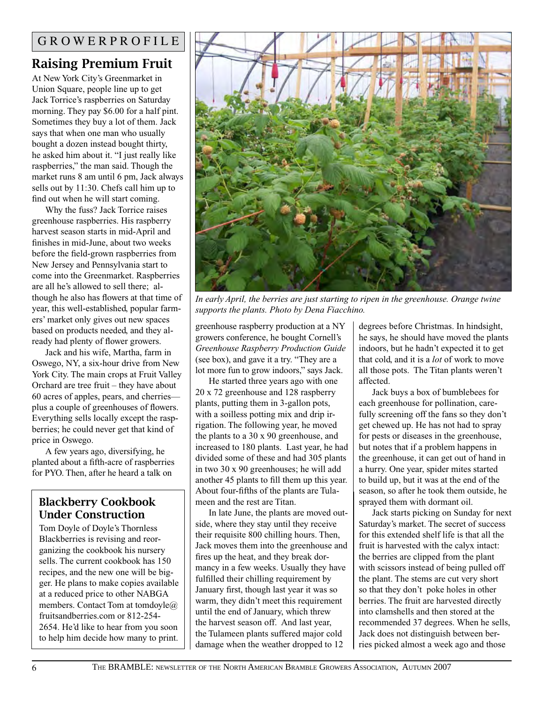# Raising Premium Fruit

At New York City's Greenmarket in Union Square, people line up to get Jack Torrice's raspberries on Saturday morning. They pay \$6.00 for a half pint. Sometimes they buy a lot of them. Jack says that when one man who usually bought a dozen instead bought thirty, he asked him about it. "I just really like raspberries," the man said. Though the market runs 8 am until 6 pm, Jack always sells out by 11:30. Chefs call him up to find out when he will start coming.

Why the fuss? Jack Torrice raises greenhouse raspberries. His raspberry harvest season starts in mid-April and finishes in mid-June, about two weeks before the field-grown raspberries from New Jersey and Pennsylvania start to come into the Greenmarket. Raspberries are all he's allowed to sell there; although he also has flowers at that time of year, this well-established, popular farmers' market only gives out new spaces based on products needed, and they already had plenty of flower growers.

Jack and his wife, Martha, farm in Oswego, NY, a six-hour drive from New York City. The main crops at Fruit Valley Orchard are tree fruit – they have about 60 acres of apples, pears, and cherries plus a couple of greenhouses of flowers. Everything sells locally except the raspberries; he could never get that kind of price in Oswego.

A few years ago, diversifying, he planted about a fifth-acre of raspberries for PYO. Then, after he heard a talk on

### Blackberry Cookbook Under Construction

Tom Doyle of Doyle's Thornless Blackberries is revising and reorganizing the cookbook his nursery sells. The current cookbook has 150 recipes, and the new one will be bigger. He plans to make copies available at a reduced price to other NABGA members. Contact Tom at tomdoyle@ fruitsandberries.com or 812-254- 2654. He'd like to hear from you soon to help him decide how many to print.



*In early April, the berries are just starting to ripen in the greenhouse. Orange twine supports the plants. Photo by Dena Fiacchino.*

greenhouse raspberry production at a NY growers conference, he bought Cornell's *Greenhouse Raspberry Production Guide* (see box), and gave it a try. "They are a lot more fun to grow indoors," says Jack.

He started three years ago with one 20 x 72 greenhouse and 128 raspberry plants, putting them in 3-gallon pots, with a soilless potting mix and drip irrigation. The following year, he moved the plants to a 30 x 90 greenhouse, and increased to 180 plants. Last year, he had divided some of these and had 305 plants in two 30 x 90 greenhouses; he will add another 45 plants to fill them up this year. About four-fifths of the plants are Tulameen and the rest are Titan.

In late June, the plants are moved outside, where they stay until they receive their requisite 800 chilling hours. Then, Jack moves them into the greenhouse and fires up the heat, and they break dormancy in a few weeks. Usually they have fulfilled their chilling requirement by January first, though last year it was so warm, they didn't meet this requirement until the end of January, which threw the harvest season off. And last year, the Tulameen plants suffered major cold damage when the weather dropped to 12

degrees before Christmas. In hindsight, he says, he should have moved the plants indoors, but he hadn't expected it to get that cold, and it is a *lot* of work to move all those pots. The Titan plants weren't affected.

Jack buys a box of bumblebees for each greenhouse for pollination, carefully screening off the fans so they don't get chewed up. He has not had to spray for pests or diseases in the greenhouse, but notes that if a problem happens in the greenhouse, it can get out of hand in a hurry. One year, spider mites started to build up, but it was at the end of the season, so after he took them outside, he sprayed them with dormant oil.

Jack starts picking on Sunday for next Saturday's market. The secret of success for this extended shelf life is that all the fruit is harvested with the calyx intact: the berries are clipped from the plant with scissors instead of being pulled off the plant. The stems are cut very short so that they don't poke holes in other berries. The fruit are harvested directly into clamshells and then stored at the recommended 37 degrees. When he sells, Jack does not distinguish between berries picked almost a week ago and those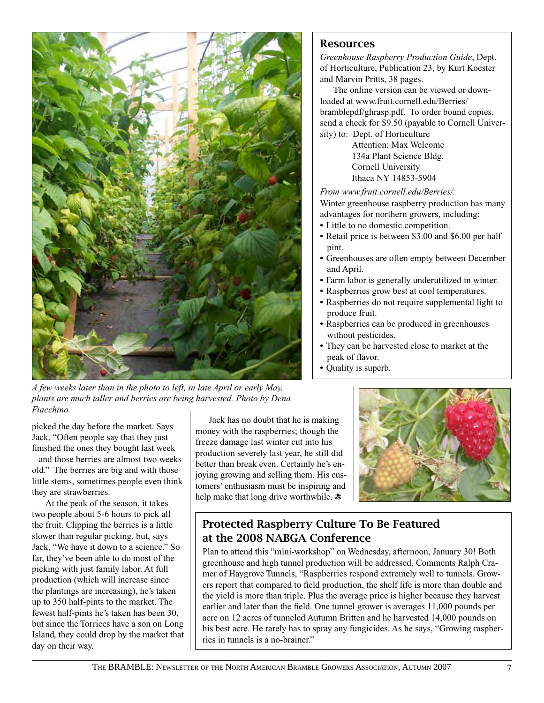

*A few weeks later than in the photo to left, in late April or early May, plants are much taller and berries are being harvested. Photo by Dena Fiacchino.*

picked the day before the market. Says Jack, "Often people say that they just finished the ones they bought last week – and those berries are almost two weeks old." The berries are big and with those little stems, sometimes people even think they are strawberries.

At the peak of the season, it takes two people about 5-6 hours to pick all the fruit. Clipping the berries is a little slower than regular picking, but, says Jack, "We have it down to a science." So far, they've been able to do most of the picking with just family labor. At full production (which will increase since the plantings are increasing), he's taken up to 350 half-pints to the market. The fewest half-pints he's taken has been 30, but since the Torrices have a son on Long Island, they could drop by the market that day on their way.

Jack has no doubt that he is making money with the raspberries; though the freeze damage last winter cut into his production severely last year, he still did better than break even. Certainly he's enjoying growing and selling them. His customers' enthusiasm must be inspiring and help make that long drive worthwhile.  $\ast$ 



### Protected Raspberry Culture To Be Featured at the 2008 NABGA Conference

Plan to attend this "mini-workshop" on Wednesday, afternoon, January 30! Both greenhouse and high tunnel production will be addressed. Comments Ralph Cramer of Haygrove Tunnels, "Raspberries respond extremely well to tunnels. Growers report that compared to field production, the shelf life is more than double and the yield is more than triple. Plus the average price is higher because they harvest earlier and later than the field. One tunnel grower is averages 11,000 pounds per acre on 12 acres of tunneled Autumn Britten and he harvested 14,000 pounds on his best acre. He rarely has to spray any fungicides. As he says, "Growing raspberries in tunnels is a no-brainer."

### Resources

*Greenhouse Raspberry Production Guide*, Dept. of Horticulture, Publication 23, by Kurt Koester and Marvin Pritts, 38 pages.

The online version can be viewed or downloaded at www.fruit.cornell.edu/Berries/ bramblepdf/ghrasp.pdf. To order bound copies, send a check for \$9.50 (payable to Cornell University) to: Dept. of Horticulture

> Attention: Max Welcome 134a Plant Science Bldg. Cornell University Ithaca NY 14853-5904

#### *From www.fruit.cornell.edu/Berries/:*

Winter greenhouse raspberry production has many advantages for northern growers, including:

- **•** Little to no domestic competition.
- **•** Retail price is between \$3.00 and \$6.00 per half pint.
- **•** Greenhouses are often empty between December and April.
- **•** Farm labor is generally underutilized in winter.
- **•** Raspberries grow best at cool temperatures.
- **•** Raspberries do not require supplemental light to produce fruit.
- **•** Raspberries can be produced in greenhouses without pesticides.
- **•** They can be harvested close to market at the peak of flavor.
- **•** Quality is superb.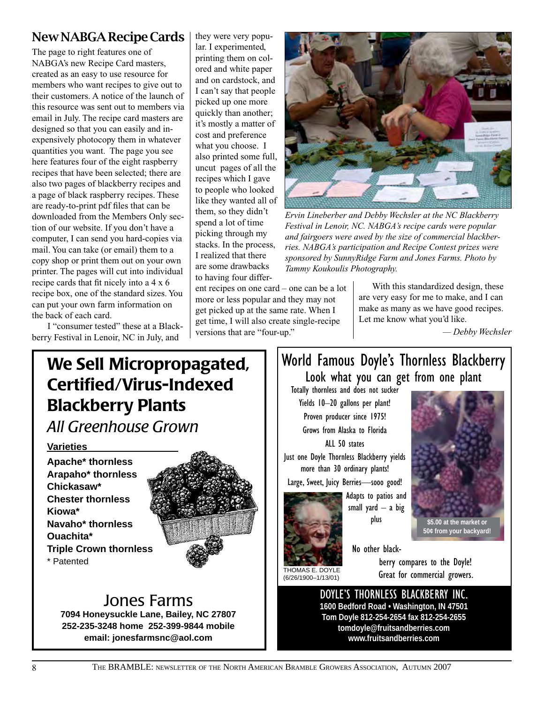### New NABGA Recipe Cards

The page to right features one of NABGA's new Recipe Card masters, created as an easy to use resource for members who want recipes to give out to their customers. A notice of the launch of this resource was sent out to members via email in July. The recipe card masters are designed so that you can easily and inexpensively photocopy them in whatever quantities you want. The page you see here features four of the eight raspberry recipes that have been selected; there are also two pages of blackberry recipes and a page of black raspberry recipes. These are ready-to-print pdf files that can be downloaded from the Members Only section of our website. If you don't have a computer, I can send you hard-copies via mail. You can take (or email) them to a copy shop or print them out on your own printer. The pages will cut into individual recipe cards that fit nicely into a 4 x 6 recipe box, one of the standard sizes. You can put your own farm information on the back of each card.

 I "consumer tested" these at a Blackberry Festival in Lenoir, NC in July, and

they were very popular. I experimented, printing them on colored and white paper and on cardstock, and I can't say that people picked up one more quickly than another; it's mostly a matter of cost and preference what you choose. I also printed some full, uncut pages of all the recipes which I gave to people who looked like they wanted all of them, so they didn't spend a lot of time picking through my stacks. In the process, I realized that there are some drawbacks to having four differ-



*Ervin Lineberber and Debby Wechsler at the NC Blackberry Festival in Lenoir, NC. NABGA's recipe cards were popular and fairgoers were awed by the size of commercial blackberries. NABGA's participation and Recipe Contest prizes were sponsored by SunnyRidge Farm and Jones Farms. Photo by Tammy Koukoulis Photography.*

ent recipes on one card – one can be a lot more or less popular and they may not get picked up at the same rate. When I get time, I will also create single-recipe versions that are "four-up."

With this standardized design, these are very easy for me to make, and I can make as many as we have good recipes. Let me know what you'd like.

*— Debby Wechsler* 

# We Sell Micropropagated, Certified/Virus-Indexed Blackberry Plants

*All Greenhouse Grown*

### **Varieties**

**Apache\* thornless Arapaho\* thornless Chickasaw\* Chester thornless Kiowa\* Navaho\* thornless Ouachita\* Triple Crown thornless**  \* Patented



# Jones Farms

**7094 Honeysuckle Lane, Bailey, NC 27807 252-235-3248 home 252-399-9844 mobile email: jonesfarmsnc@aol.com**

# World Famous Doyle's Thornless Blackberry Look what you can get from one plant

Totally thornless and does not sucker Yields 10–20 gallons per plant! Proven producer since 1975! Grows from Alaska to Florida ALL 50 states

Just one Doyle Thornless Blackberry yields more than 30 ordinary plants!

Large, Sweet, Juicy Berries—sooo good!

Adapts to patios and small yard  $-$  a big plus



No other black-

THOMAS E. DOYLE (6/26/1900–1/13/01)

berry compares to the Doyle! Great for commercial growers.

DOYLE'S THORNLESS BLACKBERRY INC. **1600 Bedford Road • Washington, IN 47501 Tom Doyle 812-254-2654 fax 812-254-2655 tomdoyle@fruitsandberries.com www.fruitsandberries.com**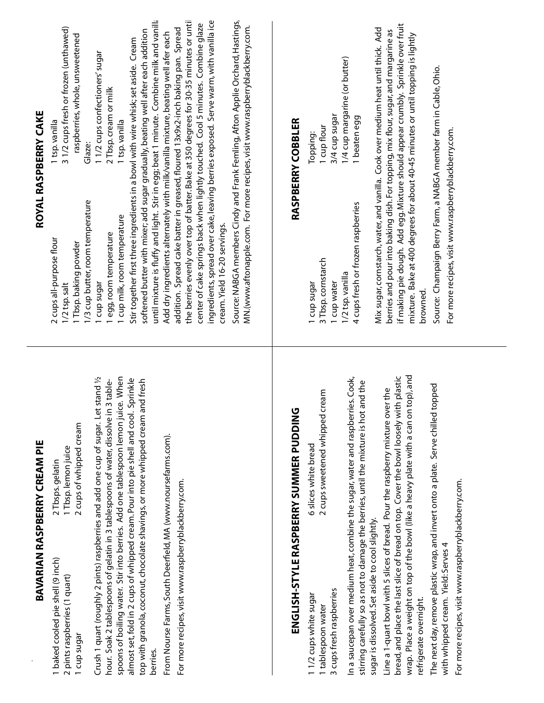|                                                                                                                                                                                                                                                                                                                                                                                                                                                     | BAVARIAN RASPBERRY CREAM PIE                                                                                                                                                                                                                                                             |                                                                                                                                                                                                                | ROYAL RASPBERRY CAKE                                                                                                                                                                                                                                                                                                                                                                                                                                                                                                                                                                                                                                                                                                                                                                                                                                                                                                                                                                                                                                                |
|-----------------------------------------------------------------------------------------------------------------------------------------------------------------------------------------------------------------------------------------------------------------------------------------------------------------------------------------------------------------------------------------------------------------------------------------------------|------------------------------------------------------------------------------------------------------------------------------------------------------------------------------------------------------------------------------------------------------------------------------------------|----------------------------------------------------------------------------------------------------------------------------------------------------------------------------------------------------------------|---------------------------------------------------------------------------------------------------------------------------------------------------------------------------------------------------------------------------------------------------------------------------------------------------------------------------------------------------------------------------------------------------------------------------------------------------------------------------------------------------------------------------------------------------------------------------------------------------------------------------------------------------------------------------------------------------------------------------------------------------------------------------------------------------------------------------------------------------------------------------------------------------------------------------------------------------------------------------------------------------------------------------------------------------------------------|
| Crush 1 quart (roughly 2 pints) raspberries and add one cup of sugar. Let<br>hour. Soak 2 tablespoons of gelatin in 3 tablespoons of water, dissolve in<br>almost set, fold in 2 cups of whipped cream. Pour into pie shell and cool.<br>From Nourse Farms, South Deerfield, MA (www.noursefarms.com).<br>For more recipes, visit www.raspberryblackberry.com.<br>1 baked cooled pie shell (9 inch)<br>2 pints raspberries (1 quart)<br>I cup sugar | spoons of boiling water. Stir into berries. Add one tablespoon lemon juice. When<br>stand <sub>1/2</sub><br>Sprinkle<br>top with granola, coconut, chocolate shavings, or more whipped cream and fresh<br>3 table-<br>2 cups of whipped cream<br>1 Tbsp. lemon juice<br>2 Tbsps. gelatin | 1/3 cup butter, room temperature<br>1 cup milk, room temperature<br>cream. Yield 16-20 servings.<br>egg, room temperature<br>2 cups all-purpose flour<br>1 Tbsp. baking powder<br>1 cup sugar<br>1/2 tsp. salt | until mixture is fluffy and light. Stir in egg; beat 1 minute. Combine milk and vanilla<br>the berries evenly over top of batter. Bake at 350 degrees for 30-35 minutes or until<br>ingredients, spread over cake, leaving berries exposed. Serve warm, with vanilla ice<br>Source: NABGA members Cindy and Frank Femling, Afton Applie Orchard, Hastings,<br>center of cake springs back when lightly touched. Cool 5 minutes. Combine glaze<br>MN.(www.aftonapple.com. For more recipes, visit www.raspberryblackberry.com.<br>31/2 cups fresh or frozen (unthawed)<br>addition. Spread cake batter in greased, floured 13x9x2-inch baking pan. Spread<br>softened butter with mixer; add sugar gradually, beating well after each addition<br>Add dry ingredients alternately with milk/vanilla mixture, beating well afer each<br>raspberries, whole, unsweetened<br>Stir together first three ingredients in a bowl with wire whisk; set aside. Cream<br>11/2 cups confectioners' sugar<br>2 Tbsp. cream or milk<br>1 tsp. vanilla<br>1 tsp. vanilla<br>Glaze: |
|                                                                                                                                                                                                                                                                                                                                                                                                                                                     |                                                                                                                                                                                                                                                                                          |                                                                                                                                                                                                                |                                                                                                                                                                                                                                                                                                                                                                                                                                                                                                                                                                                                                                                                                                                                                                                                                                                                                                                                                                                                                                                                     |
|                                                                                                                                                                                                                                                                                                                                                                                                                                                     | ENGLISH-STYLE RASPBERRY SUMMER PUDDING                                                                                                                                                                                                                                                   |                                                                                                                                                                                                                | RASPBERRY COBBLER                                                                                                                                                                                                                                                                                                                                                                                                                                                                                                                                                                                                                                                                                                                                                                                                                                                                                                                                                                                                                                                   |
| cups fresh raspberries<br>11/2 cups white sugar<br>1 tablespoon water                                                                                                                                                                                                                                                                                                                                                                               | 2 cups sweetened whipped cream<br>6 slices white bread                                                                                                                                                                                                                                   | 3 Tbsp.cornstarch<br>1 cup sugar<br>1 cup water                                                                                                                                                                | 3/4 cup sugar<br>1 cup flour<br>Topping:                                                                                                                                                                                                                                                                                                                                                                                                                                                                                                                                                                                                                                                                                                                                                                                                                                                                                                                                                                                                                            |
|                                                                                                                                                                                                                                                                                                                                                                                                                                                     | In a saucepan over medium heat, combine the sugar, water and raspberries. Cook,<br>stirring carefully so as not to damage the berries, until the mixture is hot and the                                                                                                                  | 4 cups fresh or frozen raspberries<br>1/2 tsp. vanilla                                                                                                                                                         | 1/4 cup margarine (or butter)<br>1 beaten egg                                                                                                                                                                                                                                                                                                                                                                                                                                                                                                                                                                                                                                                                                                                                                                                                                                                                                                                                                                                                                       |
| sugar is dissolved. Set aside to cool slightly.<br>refrigerate overnight.                                                                                                                                                                                                                                                                                                                                                                           | wrap. Place a weight on top of the bowl (like a heavy plate with a can on top), and<br>bread, and place the last slice of bread on top. Cover the bowl loosely with plastic<br>Line a 1-quart bowl with 5 slices of bread. Pour the raspberry mixture over the                           | browned.                                                                                                                                                                                                       | if making pie dough. Add egg. Mixture should appear crumbly. Sprinkle over fruit<br>Mix sugar, cornstarch, water, and vanilla. Cook over medium heat until thick. Add<br>berries and pour into baking dish. For topping, mix flour, sugar, and margarine as<br>mixture. Bake at 400 degrees for about 40-45 minutes or until topping is lightly                                                                                                                                                                                                                                                                                                                                                                                                                                                                                                                                                                                                                                                                                                                     |
| For more recipes, visit www.raspberryblackberry.com.<br>with whipped cream. Yield: Serves 4                                                                                                                                                                                                                                                                                                                                                         | The next day, remove plastic wrap, and invert onto a plate. Serve chilled topped                                                                                                                                                                                                         | Source: Champaign Berry Farm, a NABGA member farm in Cable, Ohio.<br>For more recipes, visit www.raspberryblackberry.com.                                                                                      |                                                                                                                                                                                                                                                                                                                                                                                                                                                                                                                                                                                                                                                                                                                                                                                                                                                                                                                                                                                                                                                                     |
|                                                                                                                                                                                                                                                                                                                                                                                                                                                     |                                                                                                                                                                                                                                                                                          |                                                                                                                                                                                                                |                                                                                                                                                                                                                                                                                                                                                                                                                                                                                                                                                                                                                                                                                                                                                                                                                                                                                                                                                                                                                                                                     |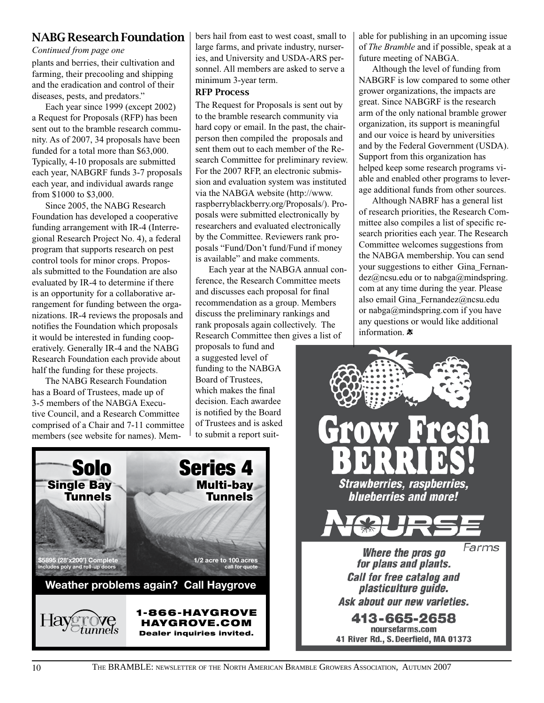### NABG Research Foundation

#### *Continued from page one*

plants and berries, their cultivation and farming, their precooling and shipping and the eradication and control of their diseases, pests, and predators."

Each year since 1999 (except 2002) a Request for Proposals (RFP) has been sent out to the bramble research community. As of 2007, 34 proposals have been funded for a total more than \$63,000. Typically, 4-10 proposals are submitted each year, NABGRF funds 3-7 proposals each year, and individual awards range from \$1000 to \$3,000.

Since 2005, the NABG Research Foundation has developed a cooperative funding arrangement with IR-4 (Interregional Research Project No. 4), a federal program that supports research on pest control tools for minor crops. Proposals submitted to the Foundation are also evaluated by IR-4 to determine if there is an opportunity for a collaborative arrangement for funding between the organizations. IR-4 reviews the proposals and notifies the Foundation which proposals it would be interested in funding cooperatively. Generally IR-4 and the NABG Research Foundation each provide about half the funding for these projects.

The NABG Research Foundation has a Board of Trustees, made up of 3-5 members of the NABGA Executive Council, and a Research Committee comprised of a Chair and 7-11 committee members (see website for names). Mem-

Solo

Single Bay Tunnels

**\$5895 (28'x200') Complete includes poly and roll-up doors**

bers hail from east to west coast, small to large farms, and private industry, nurseries, and University and USDA-ARS personnel. All members are asked to serve a minimum 3-year term.

#### RFP Process

The Request for Proposals is sent out by to the bramble research community via hard copy or email. In the past, the chairperson then compiled the proposals and sent them out to each member of the Research Committee for preliminary review. For the 2007 RFP, an electronic submission and evaluation system was instituted via the NABGA website (http://www. raspberryblackberry.org/Proposals/). Proposals were submitted electronically by researchers and evaluated electronically by the Committee. Reviewers rank proposals "Fund/Don't fund/Fund if money is available" and make comments.

Each year at the NABGA annual conference, the Research Committee meets and discusses each proposal for final recommendation as a group. Members discuss the preliminary rankings and rank proposals again collectively. The Research Committee then gives a list of

proposals to fund and a suggested level of funding to the NABGA Board of Trustees, which makes the final decision. Each awardee is notified by the Board of Trustees and is asked to submit a report suit-

Series 4

Multi-bay Tunnels

**1/2 acre to 100 acres call for quote**

1-866-HAYGROVE HAYGROVE.COM Dealer inquiries invited.

**Weather problems again? Call Haygrove**

able for publishing in an upcoming issue of *The Bramble* and if possible, speak at a future meeting of NABGA.

Although the level of funding from NABGRF is low compared to some other grower organizations, the impacts are great. Since NABGRF is the research arm of the only national bramble grower organization, its support is meaningful and our voice is heard by universities and by the Federal Government (USDA). Support from this organization has helped keep some research programs viable and enabled other programs to leverage additional funds from other sources.

Although NABRF has a general list of research priorities, the Research Committee also compiles a list of specific research priorities each year. The Research Committee welcomes suggestions from the NABGA membership. You can send your suggestions to either Gina\_Fernandez@ncsu.edu or to nabga@mindspring. com at any time during the year. Please also email Gina\_Fernandez@ncsu.edu or nabga@mindspring.com if you have any questions or would like additional information.  $*$ 

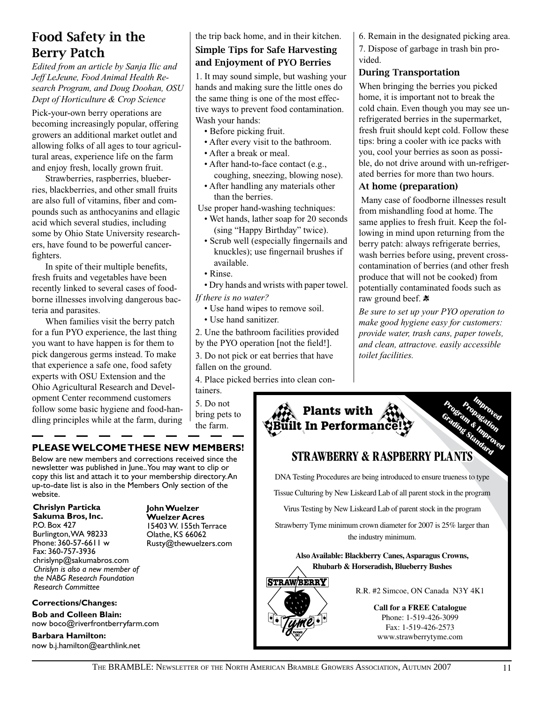# Food Safety in the Berry Patch

*Edited from an article by Sanja Ilic and Jeff LeJeune, Food Animal Health Research Program, and Doug Doohan, OSU Dept of Horticulture & Crop Science*

Pick-your-own berry operations are becoming increasingly popular, offering growers an additional market outlet and allowing folks of all ages to tour agricultural areas, experience life on the farm and enjoy fresh, locally grown fruit.

Strawberries, raspberries, blueberries, blackberries, and other small fruits are also full of vitamins, fiber and compounds such as anthocyanins and ellagic acid which several studies, including some by Ohio State University researchers, have found to be powerful cancerfighters.

In spite of their multiple benefits, fresh fruits and vegetables have been recently linked to several cases of foodborne illnesses involving dangerous bacteria and parasites.

When families visit the berry patch for a fun PYO experience, the last thing you want to have happen is for them to pick dangerous germs instead. To make that experience a safe one, food safety experts with OSU Extension and the Ohio Agricultural Research and Development Center recommend customers follow some basic hygiene and food-handling principles while at the farm, during

### **PLEASE WELCOME THESE NEW MEMBERS!**

Below are new members and corrections received since the newsletter was published in June.. You may want to clip or copy this list and attach it to your membership directory. An up-to-date list is also in the Members Only section of the website.

#### **Chrislyn Particka Sakuma Bros, Inc.** P.O. Box 427 Burlington, WA 98233 Phone: 360-57-6611 w Fax: 360-757-3936 chrislynp@sakumabros.com *Chrislyn is also a new member of the NABG Research Foundation Research Committee*

**Corrections/Changes: Bob and Colleen Blain:** 

**Barbara Hamilton:** 

now boco@riverfrontberryfarm.com

now b.j.hamilton@earthlink.net

**John Wuelzer Wuelzer Acres** 15403 W. 155th Terrace Olathe, KS 66062 Rusty@thewuelzers.com

### the trip back home, and in their kitchen. Simple Tips for Safe Harvesting and Enjoyment of PYO Berries

1. It may sound simple, but washing your hands and making sure the little ones do the same thing is one of the most effective ways to prevent food contamination. Wash your hands:

- Before picking fruit.
- After every visit to the bathroom.
- After a break or meal.
- After hand-to-face contact (e.g., coughing, sneezing, blowing nose).
- After handling any materials other than the berries.
- Use proper hand-washing techniques:
	- Wet hands, lather soap for 20 seconds (sing "Happy Birthday" twice).
	- Scrub well (especially fingernails and knuckles); use fingernail brushes if available.
	- Rinse.
	- Dry hands and wrists with paper towel.

*If there is no water?*

- Use hand wipes to remove soil.
- Use hand sanitizer.
- 2. Une the bathroom facilities provided by the PYO operation [not the field!].

3. Do not pick or eat berries that have fallen on the ground.

4. Place picked berries into clean con-

tainers. 5. Do not bring pets to the farm.

6. Remain in the designated picking area.

7. Dispose of garbage in trash bin provided.

#### During Transportation

When bringing the berries you picked home, it is important not to break the cold chain. Even though you may see unrefrigerated berries in the supermarket, fresh fruit should kept cold. Follow these tips: bring a cooler with ice packs with you, cool your berries as soon as possible, do not drive around with un-refrigerated berries for more than two hours.

### At home (preparation)

 Many case of foodborne illnesses result from mishandling food at home. The same applies to fresh fruit. Keep the following in mind upon returning from the berry patch: always refrigerate berries, wash berries before using, prevent crosscontamination of berries (and other fresh produce that will not be cooked) from potentially contaminated foods such as raw ground beef.  $*$ 

*Be sure to set up your PYO operation to make good hygiene easy for customers: provide water, trash cans, paper towels, and clean, attractove. easily accessible toilet facilities.*



Fax: 1-519-426-2573 www.strawberrytyme.com